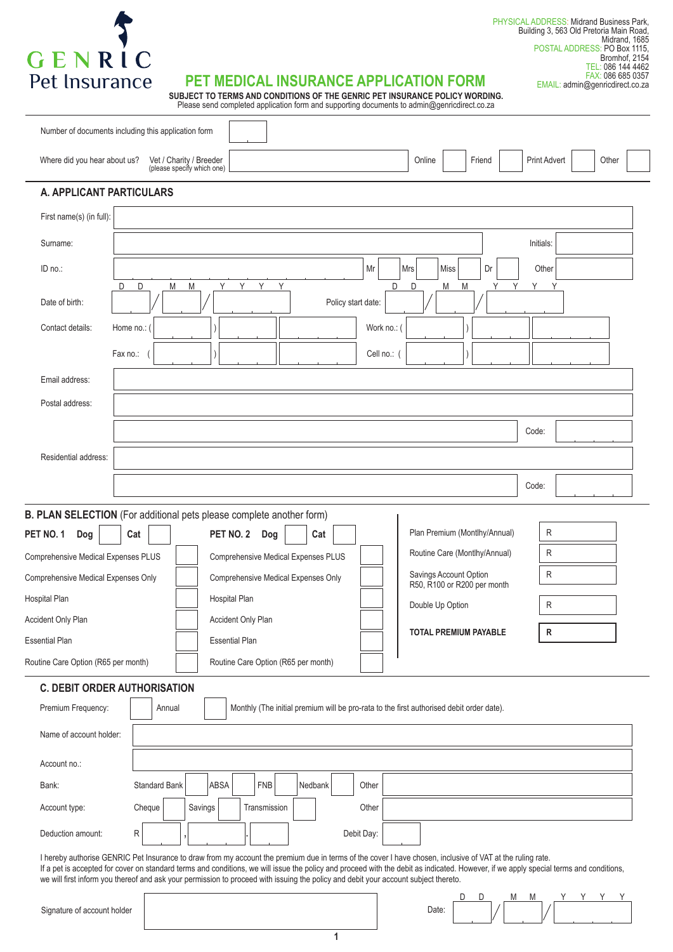

#### PHYSICAL ADDRESS: Midrand Business Park, Building 3, 563 Old Pretoria Main Road, Midrand, 1685 POSTAL ADDRESS: PO Box 1115, Bromhof, 2154 TEL: 086 144 4462 FAX: 086 685 0357

EMAIL: admin@genricdirect.co.za

## **PET MEDICAL INSURANCE APPLICATION FORM**

**SUBJECT TO TERMS AND CONDITIONS OF THE GENRIC PET INSURANCE POLICY WORDING.** Please send completed application form and supporting documents to admin@genricdirect.co.za

| Number of documents including this application form                                                                                                                                                                                                                                                                                                                                                                                                                                       |                                                                                          |                                                       |                                     |                                                                                          |             |                                                       |      |        |   |                     |       |  |
|-------------------------------------------------------------------------------------------------------------------------------------------------------------------------------------------------------------------------------------------------------------------------------------------------------------------------------------------------------------------------------------------------------------------------------------------------------------------------------------------|------------------------------------------------------------------------------------------|-------------------------------------------------------|-------------------------------------|------------------------------------------------------------------------------------------|-------------|-------------------------------------------------------|------|--------|---|---------------------|-------|--|
| Where did you hear about us?                                                                                                                                                                                                                                                                                                                                                                                                                                                              |                                                                                          | Vet / Charity / Breeder<br>(please specify which one) |                                     |                                                                                          |             | Online                                                |      | Friend |   | <b>Print Advert</b> | Other |  |
| A. APPLICANT PARTICULARS                                                                                                                                                                                                                                                                                                                                                                                                                                                                  |                                                                                          |                                                       |                                     |                                                                                          |             |                                                       |      |        |   |                     |       |  |
| First name(s) (in full):                                                                                                                                                                                                                                                                                                                                                                                                                                                                  |                                                                                          |                                                       |                                     |                                                                                          |             |                                                       |      |        |   |                     |       |  |
| Surname:                                                                                                                                                                                                                                                                                                                                                                                                                                                                                  | Initials:                                                                                |                                                       |                                     |                                                                                          |             |                                                       |      |        |   |                     |       |  |
| ID no.:                                                                                                                                                                                                                                                                                                                                                                                                                                                                                   |                                                                                          |                                                       |                                     |                                                                                          | Mr          | Mrs                                                   | Miss | Dr     |   | Other               |       |  |
| D<br>Date of birth:                                                                                                                                                                                                                                                                                                                                                                                                                                                                       | Y<br>Y<br>Y<br>D<br>Y<br>D<br>М<br>M<br>M<br>Υ<br>D<br>Μ<br>Υ<br>Y<br>Policy start date: |                                                       |                                     |                                                                                          |             |                                                       |      |        |   |                     |       |  |
| Contact details:                                                                                                                                                                                                                                                                                                                                                                                                                                                                          | Home no.:                                                                                |                                                       |                                     |                                                                                          | Work no.: ( |                                                       |      |        |   |                     |       |  |
|                                                                                                                                                                                                                                                                                                                                                                                                                                                                                           | Fax no.:                                                                                 |                                                       |                                     |                                                                                          | Cell no.: ( |                                                       |      |        |   |                     |       |  |
| Email address:                                                                                                                                                                                                                                                                                                                                                                                                                                                                            |                                                                                          |                                                       |                                     |                                                                                          |             |                                                       |      |        |   |                     |       |  |
| Postal address:                                                                                                                                                                                                                                                                                                                                                                                                                                                                           |                                                                                          |                                                       |                                     |                                                                                          |             |                                                       |      |        |   |                     |       |  |
|                                                                                                                                                                                                                                                                                                                                                                                                                                                                                           |                                                                                          |                                                       |                                     |                                                                                          |             |                                                       |      |        |   | Code:               |       |  |
| Residential address:                                                                                                                                                                                                                                                                                                                                                                                                                                                                      |                                                                                          |                                                       |                                     |                                                                                          |             |                                                       |      |        |   |                     |       |  |
|                                                                                                                                                                                                                                                                                                                                                                                                                                                                                           |                                                                                          |                                                       |                                     |                                                                                          |             |                                                       |      |        |   | Code:               |       |  |
| B. PLAN SELECTION (For additional pets please complete another form)                                                                                                                                                                                                                                                                                                                                                                                                                      |                                                                                          |                                                       |                                     |                                                                                          |             |                                                       |      |        |   |                     |       |  |
| PET NO. 1<br>Dog                                                                                                                                                                                                                                                                                                                                                                                                                                                                          | Cat                                                                                      | PET NO. 2                                             | Dog                                 | Cat                                                                                      |             | Plan Premium (Montlhy/Annual)                         |      |        |   | R                   |       |  |
| <b>Comprehensive Medical Expenses PLUS</b>                                                                                                                                                                                                                                                                                                                                                                                                                                                |                                                                                          |                                                       | Comprehensive Medical Expenses PLUS |                                                                                          |             | Routine Care (Montlhy/Annual)                         |      |        |   | R                   |       |  |
| Comprehensive Medical Expenses Only                                                                                                                                                                                                                                                                                                                                                                                                                                                       |                                                                                          |                                                       | Comprehensive Medical Expenses Only |                                                                                          |             | Savings Account Option<br>R50, R100 or R200 per month |      |        |   | R                   |       |  |
| Hospital Plan                                                                                                                                                                                                                                                                                                                                                                                                                                                                             |                                                                                          | Hospital Plan                                         |                                     |                                                                                          |             | Double Up Option                                      |      |        |   | R                   |       |  |
| Accident Only Plan                                                                                                                                                                                                                                                                                                                                                                                                                                                                        |                                                                                          | Accident Only Plan                                    |                                     |                                                                                          |             | <b>TOTAL PREMIUM PAYABLE</b>                          |      |        |   | R                   |       |  |
| <b>Essential Plan</b>                                                                                                                                                                                                                                                                                                                                                                                                                                                                     |                                                                                          | <b>Essential Plan</b>                                 |                                     |                                                                                          |             |                                                       |      |        |   |                     |       |  |
| Routine Care Option (R65 per month)                                                                                                                                                                                                                                                                                                                                                                                                                                                       |                                                                                          |                                                       | Routine Care Option (R65 per month) |                                                                                          |             |                                                       |      |        |   |                     |       |  |
| <b>C. DEBIT ORDER AUTHORISATION</b>                                                                                                                                                                                                                                                                                                                                                                                                                                                       |                                                                                          |                                                       |                                     |                                                                                          |             |                                                       |      |        |   |                     |       |  |
| Premium Frequency:                                                                                                                                                                                                                                                                                                                                                                                                                                                                        | Annual                                                                                   |                                                       |                                     | Monthly (The initial premium will be pro-rata to the first authorised debit order date). |             |                                                       |      |        |   |                     |       |  |
| Name of account holder:                                                                                                                                                                                                                                                                                                                                                                                                                                                                   |                                                                                          |                                                       |                                     |                                                                                          |             |                                                       |      |        |   |                     |       |  |
| Account no.:                                                                                                                                                                                                                                                                                                                                                                                                                                                                              |                                                                                          |                                                       |                                     |                                                                                          |             |                                                       |      |        |   |                     |       |  |
| <b>FNB</b><br><b>Standard Bank</b><br>ABSA<br>Nedbank<br>Bank:<br>Other                                                                                                                                                                                                                                                                                                                                                                                                                   |                                                                                          |                                                       |                                     |                                                                                          |             |                                                       |      |        |   |                     |       |  |
| Account type:                                                                                                                                                                                                                                                                                                                                                                                                                                                                             | Cheque                                                                                   | Savings                                               | Transmission                        |                                                                                          | Other       |                                                       |      |        |   |                     |       |  |
| Deduction amount:                                                                                                                                                                                                                                                                                                                                                                                                                                                                         | R                                                                                        |                                                       |                                     |                                                                                          | Debit Day:  |                                                       |      |        |   |                     |       |  |
| I hereby authorise GENRIC Pet Insurance to draw from my account the premium due in terms of the cover I have chosen, inclusive of VAT at the ruling rate.<br>If a pet is accepted for cover on standard terms and conditions, we will issue the policy and proceed with the debit as indicated. However, if we apply special terms and conditions,<br>we will first inform you thereof and ask your permission to proceed with issuing the policy and debit your account subject thereto. |                                                                                          |                                                       |                                     |                                                                                          |             |                                                       |      |        |   |                     |       |  |
|                                                                                                                                                                                                                                                                                                                                                                                                                                                                                           |                                                                                          |                                                       |                                     |                                                                                          |             |                                                       | D    | D      | M | M                   | YYYY  |  |

Signature of account holder

|       |  | . . |  | $\sim$ | $\ddot{\phantom{1}}$ |  |
|-------|--|-----|--|--------|----------------------|--|
| Date: |  |     |  |        |                      |  |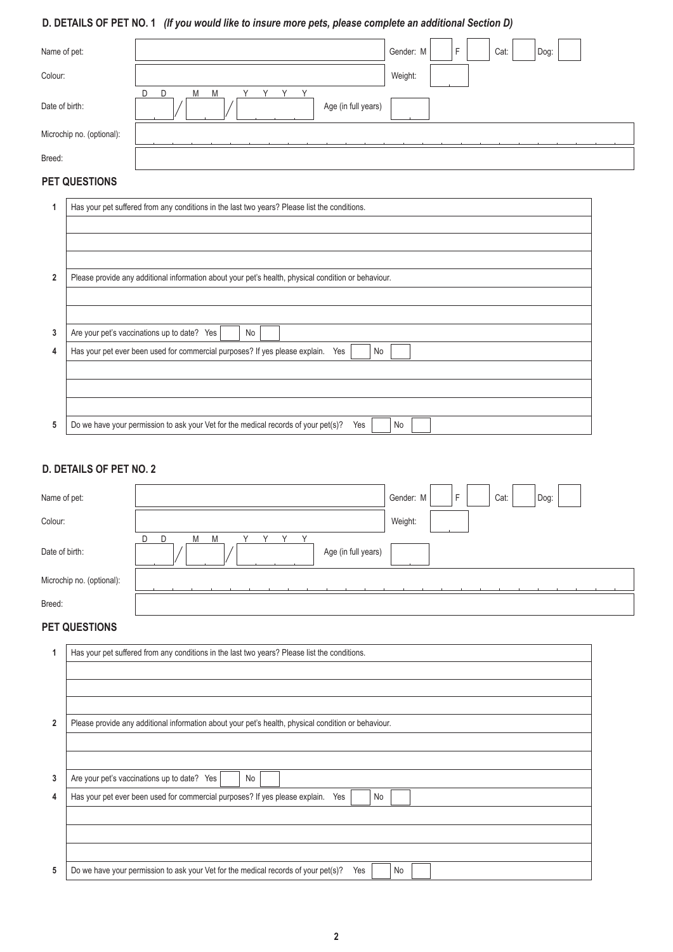# **D. DETAILS OF PET NO. 1** *(If you would like to insure more pets, please complete an additional Section D)*

| Name of pet:              | Cat:<br>Gender: M<br>Е<br>Dog:          |
|---------------------------|-----------------------------------------|
| Colour:                   | Weight:                                 |
| Date of birth:            | D<br>Μ<br>M<br>D<br>Age (in full years) |
| Microchip no. (optional): |                                         |
| Breed:                    |                                         |

# **PET QUESTIONS**

|                | Has your pet suffered from any conditions in the last two years? Please list the conditions.        |
|----------------|-----------------------------------------------------------------------------------------------------|
|                |                                                                                                     |
|                |                                                                                                     |
|                |                                                                                                     |
| $\overline{2}$ | Please provide any additional information about your pet's health, physical condition or behaviour. |
|                |                                                                                                     |
|                |                                                                                                     |
| 3              | Are your pet's vaccinations up to date? Yes<br>No                                                   |
| 4              | Has your pet ever been used for commercial purposes? If yes please explain.<br>Yes<br>No            |
|                |                                                                                                     |
|                |                                                                                                     |
|                |                                                                                                     |
| 5              | Do we have your permission to ask your Vet for the medical records of your pet(s)?<br>Yes<br>No     |

## **D. DETAILS OF PET NO. 2**

| Name of pet:              | F<br>Cat:<br>Gender: M<br>Dog:           |
|---------------------------|------------------------------------------|
| Colour:                   | Weight:                                  |
| Date of birth:            | D<br>M<br>M<br>D.<br>Age (in full years) |
| Microchip no. (optional): |                                          |
| Breed:                    |                                          |

#### **PET QUESTIONS**

| 1              | Has your pet suffered from any conditions in the last two years? Please list the conditions.        |  |  |  |  |  |  |  |
|----------------|-----------------------------------------------------------------------------------------------------|--|--|--|--|--|--|--|
|                |                                                                                                     |  |  |  |  |  |  |  |
|                |                                                                                                     |  |  |  |  |  |  |  |
| $\overline{2}$ |                                                                                                     |  |  |  |  |  |  |  |
|                | Please provide any additional information about your pet's health, physical condition or behaviour. |  |  |  |  |  |  |  |
|                |                                                                                                     |  |  |  |  |  |  |  |
|                |                                                                                                     |  |  |  |  |  |  |  |
| 3              | Are your pet's vaccinations up to date? Yes<br>No                                                   |  |  |  |  |  |  |  |
| 4              | Has your pet ever been used for commercial purposes? If yes please explain.<br>No<br>Yes            |  |  |  |  |  |  |  |
|                |                                                                                                     |  |  |  |  |  |  |  |
|                |                                                                                                     |  |  |  |  |  |  |  |
|                |                                                                                                     |  |  |  |  |  |  |  |
| 5              | Do we have your permission to ask your Vet for the medical records of your pet(s)?<br>Yes<br>No     |  |  |  |  |  |  |  |